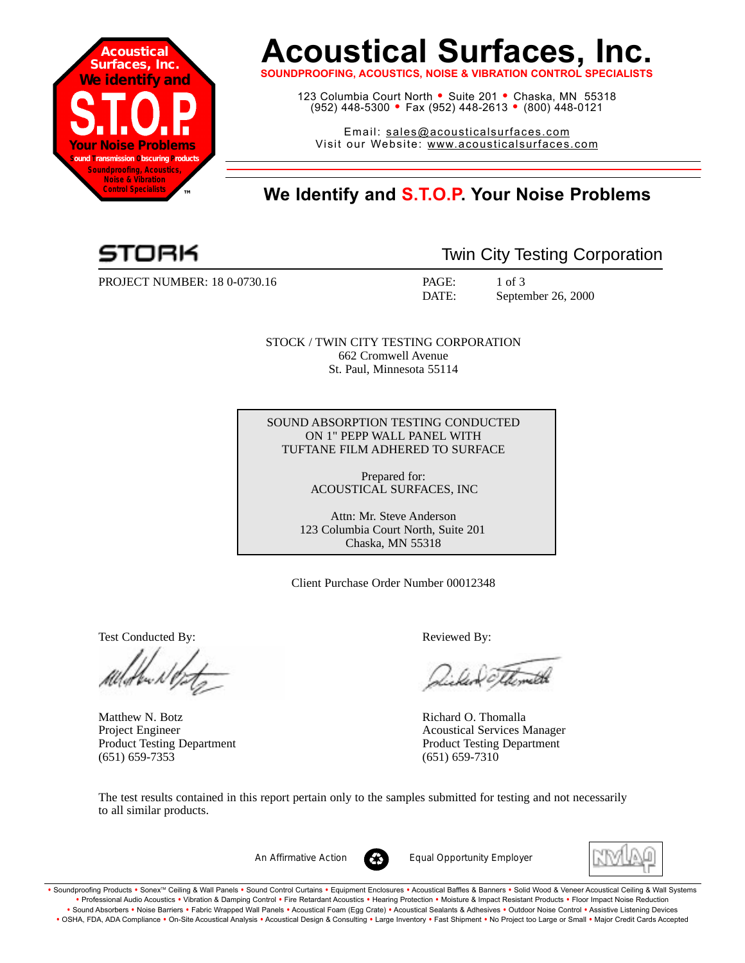

# **Acoustical Surfaces, Inc.**

**SOUNDPROOFING, ACOUSTICS, NOISE & VIBRATION CONTROL SF** 

123 Columbia Court North • Suite 201 • Chaska, MN 55318 (952) 448-5300 <sup>=</sup> Fax (952) 448-2613 <sup>=</sup> (800) 448-0121

Email: sales@acousticalsurfaces.com Visit our Website: www.acousticalsurfaces.com

# **™ We Identify and S.T.O.P. Your Noise Problems**

PROJECT NUMBER: 18 0-0730.16 PAGE: 1 of 3

Twin City Testing Corporation

DATE: September 26, 2000

STOCK / TWIN CITY TESTING CORPORATION 662 Cromwell Avenue St. Paul, Minnesota 55114

SOUND ABSORPTION TESTING CONDUCTED ON 1" PEPP WALL PANEL WITH TUFTANE FILM ADHERED TO SURFACE

> Prepared for: ACOUSTICAL SURFACES, INC

Attn: Mr. Steve Anderson 123 Columbia Court North, Suite 201 Chaska, MN 55318

Client Purchase Order Number 00012348

Test Conducted By: **Reviewed By:** Reviewed By:

Matthew N. Botz **Richard O. Thomalla** (651) 659-7353 (651) 659-7310

Williameth

Project Engineer Acoustical Services Manager Product Testing Department Product Testing Department

The test results contained in this report pertain only to the samples submitted for testing and not necessarily to all similar products.



*An Affirmative Action Equal Opportunity Employer*



. Soundproofing Products . Sonex™ Ceiling & Wall Panels . Sound Control Curtains . Equipment Enclosures . Acoustical Baffles & Banners . Solid Wood & Veneer Acoustical Ceiling & Wall Systems **•** Professional Audio Acoustics **•** Vibration & Damping Control **•** Fire Retardant Acoustics **•** Hearing Protection **•** Moisture & Impact Resistant Products **•** Floor Impact Noise Reduction Sound Absorbers • Noise Barriers • Fabric Wrapped Wall Panels • Acoustical Foam (Egg Crate) • Acoustical Sealants & Adhesives • Outdoor Noise Control • Assistive Listening Devices . OSHA, FDA, ADA Compliance . On-Site Acoustical Analysis . Acoustical Design & Consulting . Large Inventory . Fast Shipment . No Project too Large or Small . Major Credit Cards Accepted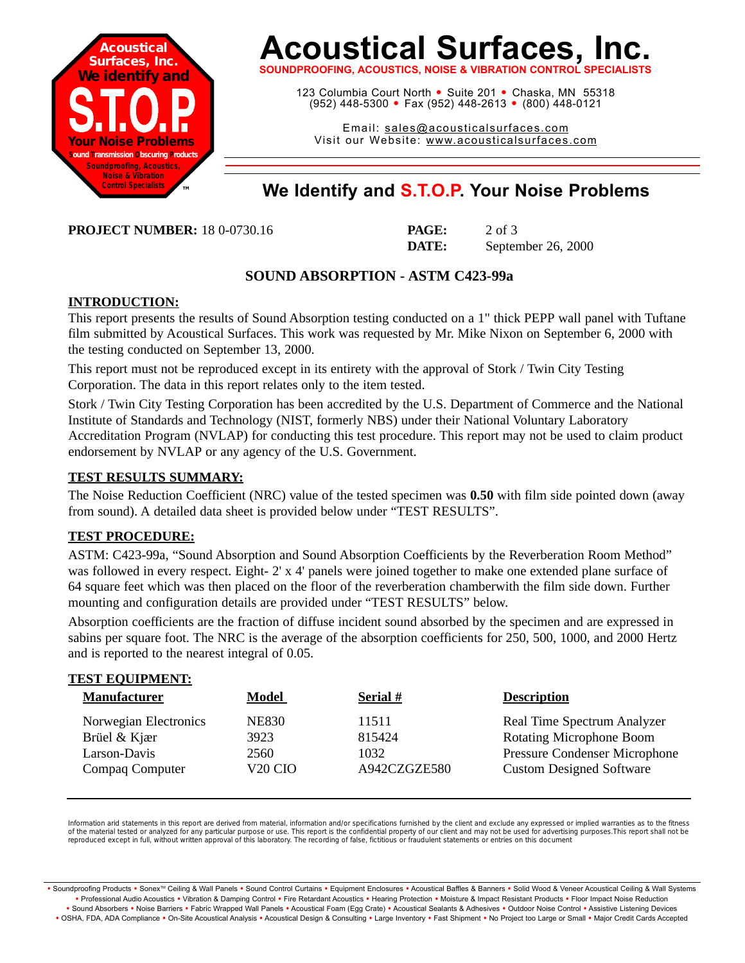

# **Acoustical Surfaces, Inc.**

**SOUNDPROOFING, ACOUSTICS, NOISE & VIBRATION CONTROL SPECIALISTS**

123 Columbia Court North · Suite 201 · Chaska, MN 55318 (952) 448-5300 <sup>=</sup> Fax (952) 448-2613 <sup>=</sup> (800) 448-0121

Email: sales@acousticalsurfaces.com Visit our Website: www.acousticalsurfaces.com

## **™ We Identify and S.T.O.P. Your Noise Problems**

**PROJECT NUMBER:** 18 0-0730.16

| <b>PAGE:</b> | $2$ of $3$         |
|--------------|--------------------|
| DATE:        | September 26, 2000 |

## **SOUND ABSORPTION - ASTM C423-99a**

### **INTRODUCTION:**

This report presents the results of Sound Absorption testing conducted on a 1" thick PEPP wall panel with Tuftane film submitted by Acoustical Surfaces. This work was requested by Mr. Mike Nixon on September 6, 2000 with the testing conducted on September 13, 2000.

This report must not be reproduced except in its entirety with the approval of Stork / Twin City Testing Corporation. The data in this report relates only to the item tested.

Stork / Twin City Testing Corporation has been accredited by the U.S. Department of Commerce and the National Institute of Standards and Technology (NIST, formerly NBS) under their National Voluntary Laboratory Accreditation Program (NVLAP) for conducting this test procedure. This report may not be used to claim product endorsement by NVLAP or any agency of the U.S. Government.

### **TEST RESULTS SUMMARY:**

The Noise Reduction Coefficient (NRC) value of the tested specimen was **0.50** with film side pointed down (away from sound). A detailed data sheet is provided below under "TEST RESULTS".

### **TEST PROCEDURE:**

**TEST EQUIPMENT:**

ASTM: C423-99a, "Sound Absorption and Sound Absorption Coefficients by the Reverberation Room Method" was followed in every respect. Eight- 2' x 4' panels were joined together to make one extended plane surface of 64 square feet which was then placed on the floor of the reverberation chamberwith the film side down. Further mounting and configuration details are provided under "TEST RESULTS" below.

Absorption coefficients are the fraction of diffuse incident sound absorbed by the specimen and are expressed in sabins per square foot. The NRC is the average of the absorption coefficients for 250, 500, 1000, and 2000 Hertz and is reported to the nearest integral of 0.05.

| <b>Manufacturer</b>   | <b>Model</b>        | Serial $#$   | <b>Description</b>                   |
|-----------------------|---------------------|--------------|--------------------------------------|
| Norwegian Electronics | <b>NE830</b>        | 11511        | Real Time Spectrum Analyzer          |
| Brüel & Kjær          | 3923                | 815424       | <b>Rotating Microphone Boom</b>      |
| Larson-Davis          | 2560                | 1032         | <b>Pressure Condenser Microphone</b> |
| Compaq Computer       | V <sub>20</sub> CIO | A942CZGZE580 | <b>Custom Designed Software</b>      |

Information arid statements in this report are derived from material, information and/or specifications furnished by the client and exclude any expressed or implied warranties as to the fitness of the material tested or analyzed for any particular purpose or use. This report is the confidential property of our client and may not be used for advertising purposes.This report shall not be reproduced except in full, without written approval of this laboratory. The recording of false, fictitious or fraudulent statements or entries on this document

· Soundproofing Products · Sonex™ Ceiling & Wall Panels · Sound Control Curtains · Equipment Enclosures · Acoustical Baffles & Banners · Solid Wood & Veneer Acoustical Ceiling & Wall Systems **•** Professional Audio Acoustics **•** Vibration & Damping Control **•** Fire Retardant Acoustics **•** Hearing Protection **•** Moisture & Impact Resistant Products **•** Floor Impact Noise Reduction Sound Absorbers • Noise Barriers • Fabric Wrapped Wall Panels • Acoustical Foam (Egg Crate) • Acoustical Sealants & Adhesives • Outdoor Noise Control • Assistive Listening Devices . OSHA, FDA, ADA Compliance . On-Site Acoustical Analysis . Acoustical Design & Consulting . Large Inventory . Fast Shipment . No Project too Large or Small . Major Credit Cards Accepted